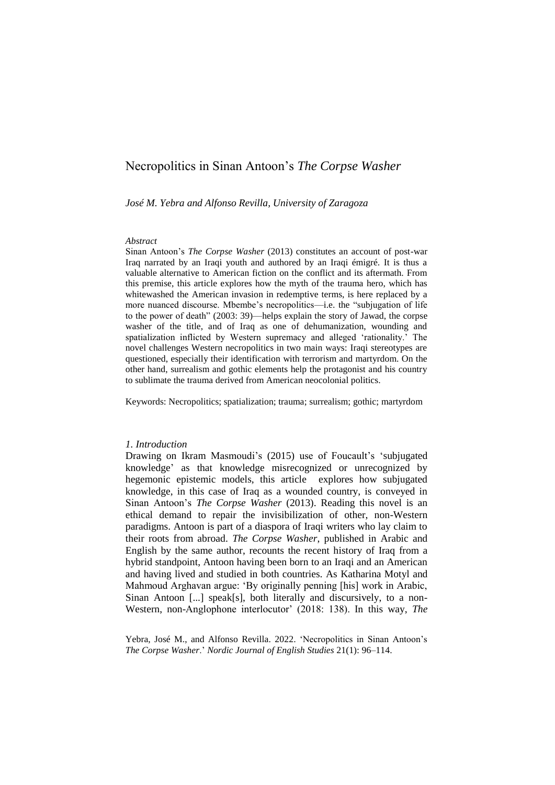*José M. Yebra and Alfonso Revilla, University of Zaragoza*

# *Abstract*

Sinan Antoon's *The Corpse Washer* (2013) constitutes an account of post-war Iraq narrated by an Iraqi youth and authored by an Iraqi émigré. It is thus a valuable alternative to American fiction on the conflict and its aftermath. From this premise, this article explores how the myth of the trauma hero, which has whitewashed the American invasion in redemptive terms, is here replaced by a more nuanced discourse. Mbembe's necropolitics—i.e. the "subjugation of life to the power of death" (2003: 39)—helps explain the story of Jawad, the corpse washer of the title, and of Iraq as one of dehumanization, wounding and spatialization inflicted by Western supremacy and alleged 'rationality.' The novel challenges Western necropolitics in two main ways: Iraqi stereotypes are questioned, especially their identification with terrorism and martyrdom. On the other hand, surrealism and gothic elements help the protagonist and his country to sublimate the trauma derived from American neocolonial politics.

Keywords: Necropolitics; spatialization; trauma; surrealism; gothic; martyrdom

## *1. Introduction*

Drawing on Ikram Masmoudi's (2015) use of Foucault's 'subjugated knowledge' as that knowledge misrecognized or unrecognized by hegemonic epistemic models, this article explores how subjugated knowledge, in this case of Iraq as a wounded country, is conveyed in Sinan Antoon's *The Corpse Washer* (2013). Reading this novel is an ethical demand to repair the invisibilization of other, non-Western paradigms. Antoon is part of a diaspora of Iraqi writers who lay claim to their roots from abroad. *The Corpse Washer*, published in Arabic and English by the same author, recounts the recent history of Iraq from a hybrid standpoint, Antoon having been born to an Iraqi and an American and having lived and studied in both countries. As Katharina Motyl and Mahmoud Arghavan argue: 'By originally penning [his] work in Arabic, Sinan Antoon [...] speak[s], both literally and discursively, to a non-Western, non-Anglophone interlocutor' (2018: 138). In this way, *The* 

Yebra, José M., and Alfonso Revilla. 2022. 'Necropolitics in Sinan Antoon's *The Corpse Washer*.' *Nordic Journal of English Studies* 21(1): 96–114.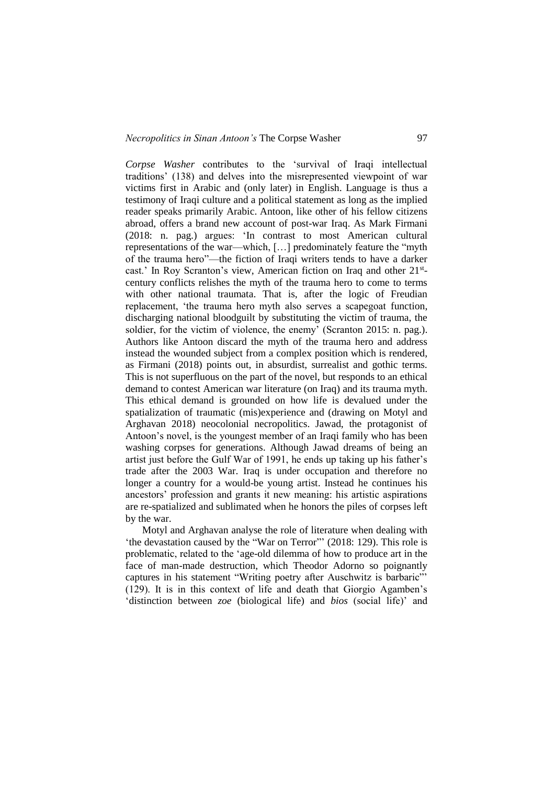*Corpse Washer* contributes to the 'survival of Iraqi intellectual traditions' (138) and delves into the misrepresented viewpoint of war victims first in Arabic and (only later) in English. Language is thus a testimony of Iraqi culture and a political statement as long as the implied reader speaks primarily Arabic. Antoon, like other of his fellow citizens abroad, offers a brand new account of post-war Iraq. As Mark Firmani (2018: n. pag.) argues: 'In contrast to most American cultural representations of the war—which, […] predominately feature the "myth of the trauma hero"—the fiction of Iraqi writers tends to have a darker cast.' In Roy Scranton's view, American fiction on Iraq and other 21<sup>st</sup>century conflicts relishes the myth of the trauma hero to come to terms with other national traumata. That is, after the logic of Freudian replacement, 'the trauma hero myth also serves a scapegoat function, discharging national bloodguilt by substituting the victim of trauma, the soldier, for the victim of violence, the enemy' (Scranton 2015: n. pag.). Authors like Antoon discard the myth of the trauma hero and address instead the wounded subject from a complex position which is rendered, as Firmani (2018) points out, in absurdist, surrealist and gothic terms. This is not superfluous on the part of the novel, but responds to an ethical demand to contest American war literature (on Iraq) and its trauma myth. This ethical demand is grounded on how life is devalued under the spatialization of traumatic (mis)experience and (drawing on Motyl and Arghavan 2018) neocolonial necropolitics. Jawad, the protagonist of Antoon's novel, is the youngest member of an Iraqi family who has been washing corpses for generations. Although Jawad dreams of being an artist just before the Gulf War of 1991, he ends up taking up his father's trade after the 2003 War. Iraq is under occupation and therefore no longer a country for a would-be young artist. Instead he continues his ancestors' profession and grants it new meaning: his artistic aspirations are re-spatialized and sublimated when he honors the piles of corpses left by the war.

Motyl and Arghavan analyse the role of literature when dealing with 'the devastation caused by the "War on Terror"' (2018: 129). This role is problematic, related to the 'age-old dilemma of how to produce art in the face of man-made destruction, which Theodor Adorno so poignantly captures in his statement "Writing poetry after Auschwitz is barbaric"' (129). It is in this context of life and death that Giorgio Agamben's 'distinction between *zoe* (biological life) and *bios* (social life)' and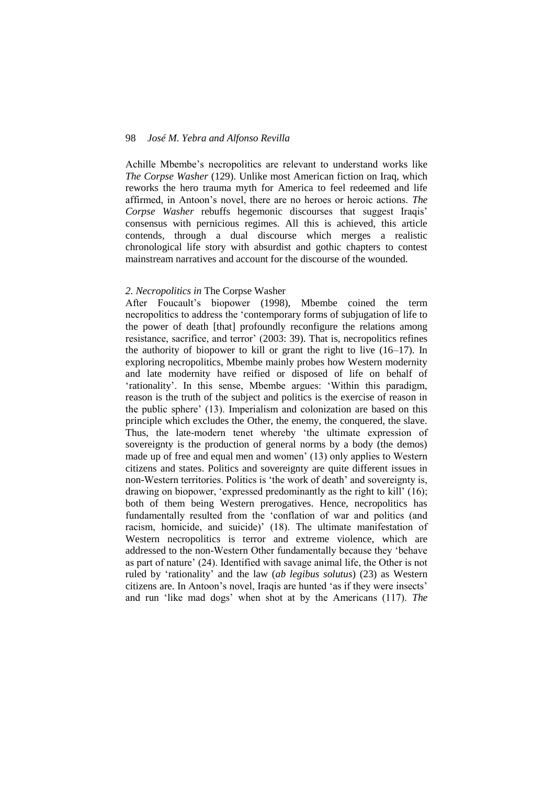Achille Mbembe's necropolitics are relevant to understand works like *The Corpse Washer* (129). Unlike most American fiction on Iraq, which reworks the hero trauma myth for America to feel redeemed and life affirmed, in Antoon's novel, there are no heroes or heroic actions. *The Corpse Washer* rebuffs hegemonic discourses that suggest Iraqis' consensus with pernicious regimes. All this is achieved, this article contends, through a dual discourse which merges a realistic chronological life story with absurdist and gothic chapters to contest mainstream narratives and account for the discourse of the wounded.

## *2. Necropolitics in* The Corpse Washer

After Foucault's biopower (1998), Mbembe coined the term necropolitics to address the 'contemporary forms of subjugation of life to the power of death [that] profoundly reconfigure the relations among resistance, sacrifice, and terror' (2003: 39). That is, necropolitics refines the authority of biopower to kill or grant the right to live (16–17). In exploring necropolitics, Mbembe mainly probes how Western modernity and late modernity have reified or disposed of life on behalf of 'rationality'. In this sense, Mbembe argues: 'Within this paradigm, reason is the truth of the subject and politics is the exercise of reason in the public sphere' (13). Imperialism and colonization are based on this principle which excludes the Other, the enemy, the conquered, the slave. Thus, the late-modern tenet whereby 'the ultimate expression of sovereignty is the production of general norms by a body (the demos) made up of free and equal men and women' (13) only applies to Western citizens and states. Politics and sovereignty are quite different issues in non-Western territories. Politics is 'the work of death' and sovereignty is, drawing on biopower, 'expressed predominantly as the right to kill' (16); both of them being Western prerogatives. Hence, necropolitics has fundamentally resulted from the 'conflation of war and politics (and racism, homicide, and suicide)' (18). The ultimate manifestation of Western necropolitics is terror and extreme violence, which are addressed to the non-Western Other fundamentally because they 'behave as part of nature' (24). Identified with savage animal life, the Other is not ruled by 'rationality' and the law (*ab legibus solutus*) (23) as Western citizens are. In Antoon's novel, Iraqis are hunted 'as if they were insects' and run 'like mad dogs' when shot at by the Americans (117). *The*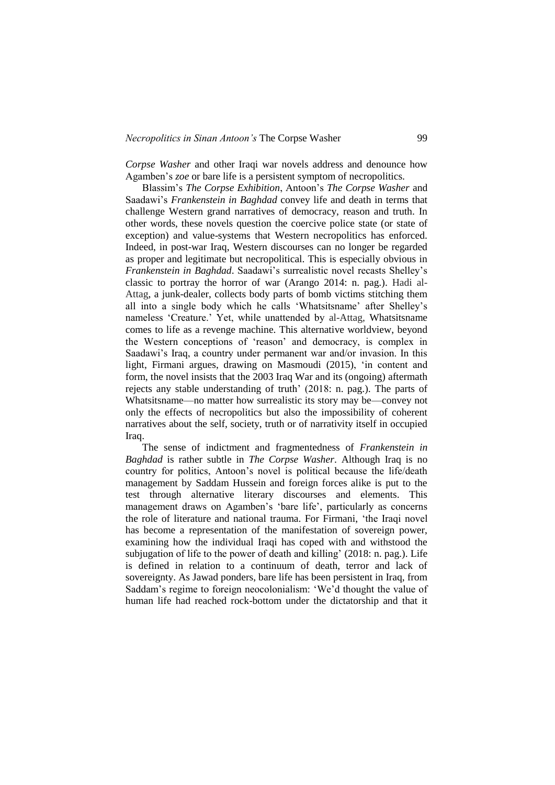*Corpse Washer* and other Iraqi war novels address and denounce how Agamben's *zoe* or bare life is a persistent symptom of necropolitics.

Blassim's *The Corpse Exhibition*, Antoon's *The Corpse Washer* and Saadawi's *Frankenstein in Baghdad* convey life and death in terms that challenge Western grand narratives of democracy, reason and truth. In other words, these novels question the coercive police state (or state of exception) and value-systems that Western necropolitics has enforced. Indeed, in post-war Iraq, Western discourses can no longer be regarded as proper and legitimate but necropolitical. This is especially obvious in *Frankenstein in Baghdad*. Saadawi's surrealistic novel recasts Shelley's classic to portray the horror of war (Arango 2014: n. pag.). Hadi al-Attag, a junk-dealer, collects body parts of bomb victims stitching them all into a single body which he calls 'Whatsitsname' after Shelley's nameless 'Creature.' Yet, while unattended by al-Attag, Whatsitsname comes to life as a revenge machine. This alternative worldview, beyond the Western conceptions of 'reason' and democracy, is complex in Saadawi's Iraq, a country under permanent war and/or invasion. In this light, Firmani argues, drawing on Masmoudi (2015), 'in content and form, the novel insists that the 2003 Iraq War and its (ongoing) aftermath rejects any stable understanding of truth' (2018: n. pag.). The parts of Whatsitsname—no matter how surrealistic its story may be—convey not only the effects of necropolitics but also the impossibility of coherent narratives about the self, society, truth or of narrativity itself in occupied Iraq.

The sense of indictment and fragmentedness of *Frankenstein in Baghdad* is rather subtle in *The Corpse Washer*. Although Iraq is no country for politics, Antoon's novel is political because the life/death management by Saddam Hussein and foreign forces alike is put to the test through alternative literary discourses and elements. This management draws on Agamben's 'bare life', particularly as concerns the role of literature and national trauma. For Firmani, 'the Iraqi novel has become a representation of the manifestation of sovereign power, examining how the individual Iraqi has coped with and withstood the subjugation of life to the power of death and killing' (2018: n. pag.). Life is defined in relation to a continuum of death, terror and lack of sovereignty. As Jawad ponders, bare life has been persistent in Iraq, from Saddam's regime to foreign neocolonialism: 'We'd thought the value of human life had reached rock-bottom under the dictatorship and that it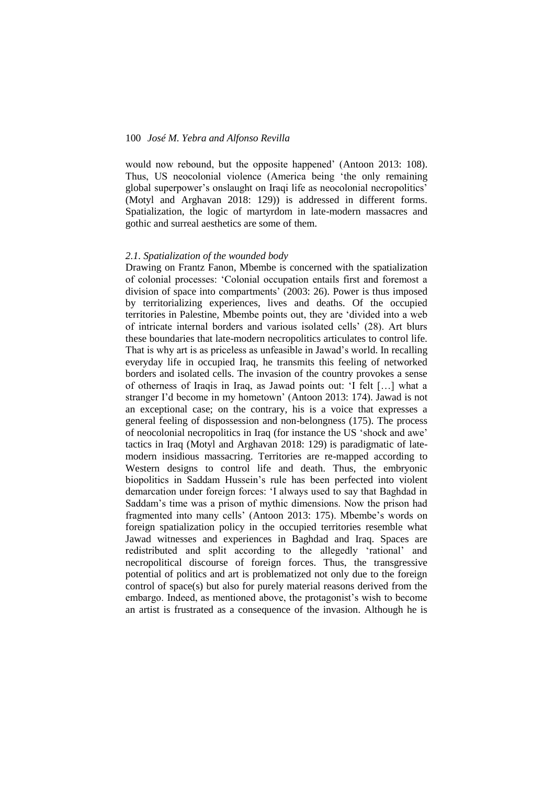would now rebound, but the opposite happened' (Antoon 2013: 108). Thus, US neocolonial violence (America being 'the only remaining global superpower's onslaught on Iraqi life as neocolonial necropolitics' (Motyl and Arghavan 2018: 129)) is addressed in different forms. Spatialization, the logic of martyrdom in late-modern massacres and gothic and surreal aesthetics are some of them.

#### *2.1. Spatialization of the wounded body*

Drawing on Frantz Fanon, Mbembe is concerned with the spatialization of colonial processes: 'Colonial occupation entails first and foremost a division of space into compartments' (2003: 26). Power is thus imposed by territorializing experiences, lives and deaths. Of the occupied territories in Palestine, Mbembe points out, they are 'divided into a web of intricate internal borders and various isolated cells' (28). Art blurs these boundaries that late-modern necropolitics articulates to control life. That is why art is as priceless as unfeasible in Jawad's world. In recalling everyday life in occupied Iraq, he transmits this feeling of networked borders and isolated cells. The invasion of the country provokes a sense of otherness of Iraqis in Iraq, as Jawad points out: 'I felt […] what a stranger I'd become in my hometown' (Antoon 2013: 174). Jawad is not an exceptional case; on the contrary, his is a voice that expresses a general feeling of dispossession and non-belongness (175). The process of neocolonial necropolitics in Iraq (for instance the US 'shock and awe' tactics in Iraq (Motyl and Arghavan 2018: 129) is paradigmatic of latemodern insidious massacring. Territories are re-mapped according to Western designs to control life and death. Thus, the embryonic biopolitics in Saddam Hussein's rule has been perfected into violent demarcation under foreign forces: 'I always used to say that Baghdad in Saddam's time was a prison of mythic dimensions. Now the prison had fragmented into many cells' (Antoon 2013: 175). Mbembe's words on foreign spatialization policy in the occupied territories resemble what Jawad witnesses and experiences in Baghdad and Iraq. Spaces are redistributed and split according to the allegedly 'rational' and necropolitical discourse of foreign forces. Thus, the transgressive potential of politics and art is problematized not only due to the foreign control of space(s) but also for purely material reasons derived from the embargo. Indeed, as mentioned above, the protagonist's wish to become an artist is frustrated as a consequence of the invasion. Although he is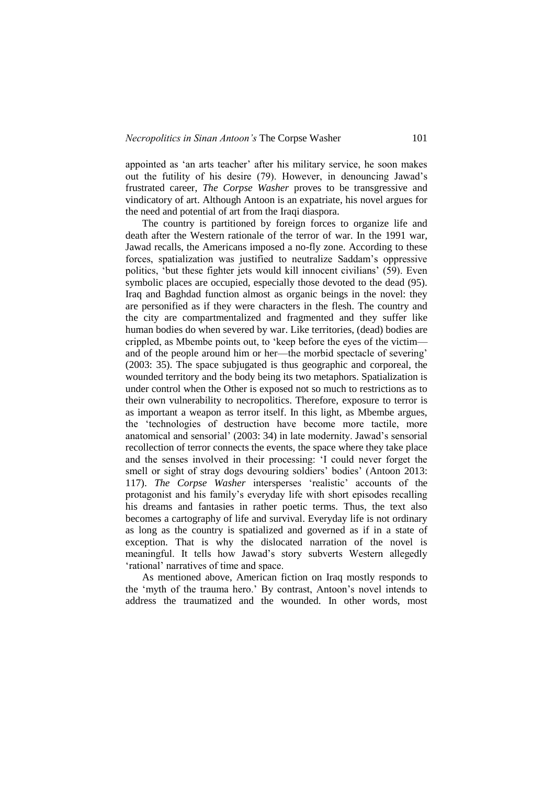appointed as 'an arts teacher' after his military service, he soon makes out the futility of his desire (79). However, in denouncing Jawad's frustrated career, *The Corpse Washer* proves to be transgressive and vindicatory of art. Although Antoon is an expatriate, his novel argues for the need and potential of art from the Iraqi diaspora.

The country is partitioned by foreign forces to organize life and death after the Western rationale of the terror of war. In the 1991 war, Jawad recalls, the Americans imposed a no-fly zone. According to these forces, spatialization was justified to neutralize Saddam's oppressive politics, 'but these fighter jets would kill innocent civilians' (59). Even symbolic places are occupied, especially those devoted to the dead (95). Iraq and Baghdad function almost as organic beings in the novel: they are personified as if they were characters in the flesh. The country and the city are compartmentalized and fragmented and they suffer like human bodies do when severed by war. Like territories, (dead) bodies are crippled, as Mbembe points out, to 'keep before the eyes of the victim and of the people around him or her—the morbid spectacle of severing' (2003: 35). The space subjugated is thus geographic and corporeal, the wounded territory and the body being its two metaphors. Spatialization is under control when the Other is exposed not so much to restrictions as to their own vulnerability to necropolitics. Therefore, exposure to terror is as important a weapon as terror itself. In this light, as Mbembe argues, the 'technologies of destruction have become more tactile, more anatomical and sensorial' (2003: 34) in late modernity. Jawad's sensorial recollection of terror connects the events, the space where they take place and the senses involved in their processing: 'I could never forget the smell or sight of stray dogs devouring soldiers' bodies' (Antoon 2013: 117). *The Corpse Washer* intersperses 'realistic' accounts of the protagonist and his family's everyday life with short episodes recalling his dreams and fantasies in rather poetic terms. Thus, the text also becomes a cartography of life and survival. Everyday life is not ordinary as long as the country is spatialized and governed as if in a state of exception. That is why the dislocated narration of the novel is meaningful. It tells how Jawad's story subverts Western allegedly 'rational' narratives of time and space.

As mentioned above, American fiction on Iraq mostly responds to the 'myth of the trauma hero.' By contrast, Antoon's novel intends to address the traumatized and the wounded. In other words, most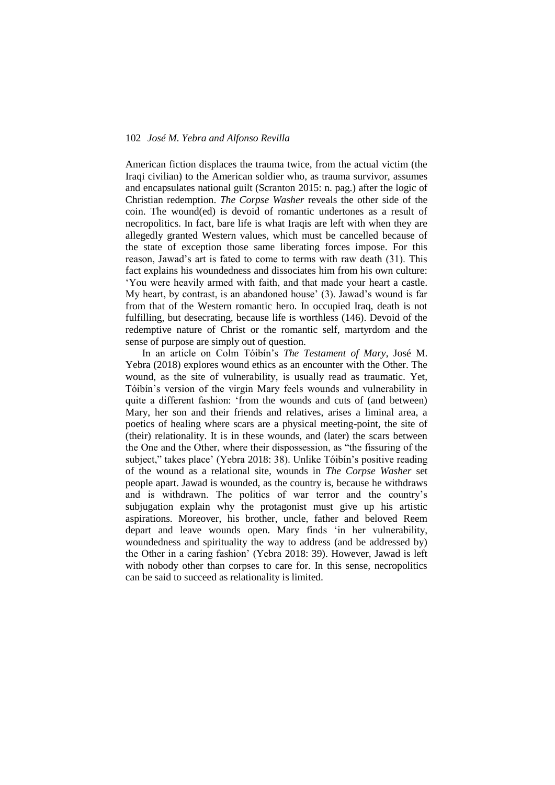American fiction displaces the trauma twice, from the actual victim (the Iraqi civilian) to the American soldier who, as trauma survivor, assumes and encapsulates national guilt (Scranton 2015: n. pag.) after the logic of Christian redemption. *The Corpse Washer* reveals the other side of the coin. The wound(ed) is devoid of romantic undertones as a result of necropolitics. In fact, bare life is what Iraqis are left with when they are allegedly granted Western values, which must be cancelled because of the state of exception those same liberating forces impose. For this reason, Jawad's art is fated to come to terms with raw death (31). This fact explains his woundedness and dissociates him from his own culture: 'You were heavily armed with faith, and that made your heart a castle. My heart, by contrast, is an abandoned house' (3). Jawad's wound is far from that of the Western romantic hero. In occupied Iraq, death is not fulfilling, but desecrating, because life is worthless (146). Devoid of the redemptive nature of Christ or the romantic self, martyrdom and the sense of purpose are simply out of question.

In an article on Colm Tóibín's *The Testament of Mary*, José M. Yebra (2018) explores wound ethics as an encounter with the Other. The wound, as the site of vulnerability, is usually read as traumatic. Yet, Tóibín's version of the virgin Mary feels wounds and vulnerability in quite a different fashion: 'from the wounds and cuts of (and between) Mary, her son and their friends and relatives, arises a liminal area, a poetics of healing where scars are a physical meeting-point, the site of (their) relationality. It is in these wounds, and (later) the scars between the One and the Other, where their dispossession, as "the fissuring of the subject," takes place' (Yebra 2018: 38). Unlike Tóibín's positive reading of the wound as a relational site, wounds in *The Corpse Washer* set people apart. Jawad is wounded, as the country is, because he withdraws and is withdrawn. The politics of war terror and the country's subjugation explain why the protagonist must give up his artistic aspirations. Moreover, his brother, uncle, father and beloved Reem depart and leave wounds open. Mary finds 'in her vulnerability, woundedness and spirituality the way to address (and be addressed by) the Other in a caring fashion' (Yebra 2018: 39). However, Jawad is left with nobody other than corpses to care for. In this sense, necropolitics can be said to succeed as relationality is limited.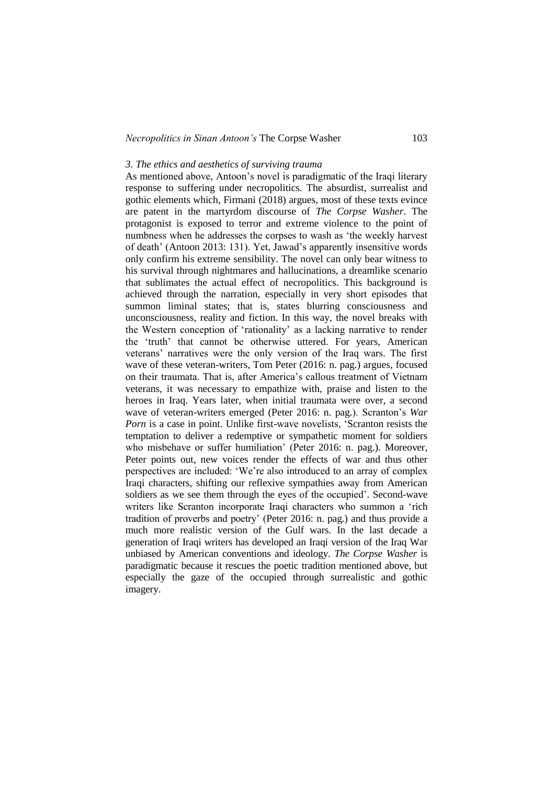#### *3. The ethics and aesthetics of surviving trauma*

As mentioned above, Antoon's novel is paradigmatic of the Iraqi literary response to suffering under necropolitics. The absurdist, surrealist and gothic elements which, Firmani (2018) argues, most of these texts evince are patent in the martyrdom discourse of *The Corpse Washer*. The protagonist is exposed to terror and extreme violence to the point of numbness when he addresses the corpses to wash as 'the weekly harvest of death' (Antoon 2013: 131). Yet, Jawad's apparently insensitive words only confirm his extreme sensibility. The novel can only bear witness to his survival through nightmares and hallucinations, a dreamlike scenario that sublimates the actual effect of necropolitics. This background is achieved through the narration, especially in very short episodes that summon liminal states; that is, states blurring consciousness and unconsciousness, reality and fiction. In this way, the novel breaks with the Western conception of 'rationality' as a lacking narrative to render the 'truth' that cannot be otherwise uttered. For years, American veterans' narratives were the only version of the Iraq wars. The first wave of these veteran-writers, Tom Peter (2016: n. pag.) argues, focused on their traumata. That is, after America's callous treatment of Vietnam veterans, it was necessary to empathize with, praise and listen to the heroes in Iraq. Years later, when initial traumata were over, a second wave of veteran-writers emerged (Peter 2016: n. pag.). Scranton's *War Porn* is a case in point. Unlike first-wave novelists, 'Scranton resists the temptation to deliver a redemptive or sympathetic moment for soldiers who misbehave or suffer humiliation' (Peter 2016: n. pag.). Moreover, Peter points out, new voices render the effects of war and thus other perspectives are included: 'We're also introduced to an array of complex Iraqi characters, shifting our reflexive sympathies away from American soldiers as we see them through the eyes of the occupied'. Second-wave writers like Scranton incorporate Iraqi characters who summon a 'rich tradition of proverbs and poetry' (Peter 2016: n. pag.) and thus provide a much more realistic version of the Gulf wars. In the last decade a generation of Iraqi writers has developed an Iraqi version of the Iraq War unbiased by American conventions and ideology. *The Corpse Washer* is paradigmatic because it rescues the poetic tradition mentioned above, but especially the gaze of the occupied through surrealistic and gothic imagery.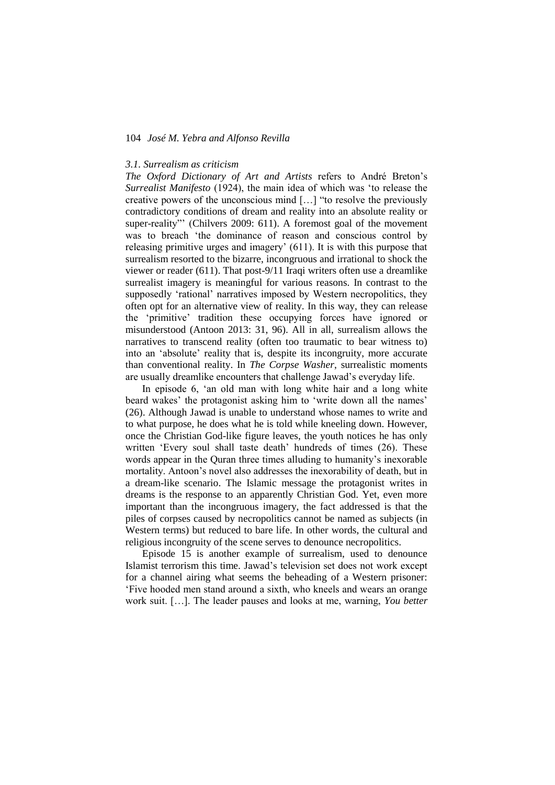#### *3.1. Surrealism as criticism*

*The Oxford Dictionary of Art and Artists* refers to André Breton's *Surrealist Manifesto* (1924), the main idea of which was 'to release the creative powers of the unconscious mind […] "to resolve the previously contradictory conditions of dream and reality into an absolute reality or super-reality"' (Chilvers 2009: 611). A foremost goal of the movement was to breach 'the dominance of reason and conscious control by releasing primitive urges and imagery' (611). It is with this purpose that surrealism resorted to the bizarre, incongruous and irrational to shock the viewer or reader (611). That post-9/11 Iraqi writers often use a dreamlike surrealist imagery is meaningful for various reasons. In contrast to the supposedly 'rational' narratives imposed by Western necropolitics, they often opt for an alternative view of reality. In this way, they can release the 'primitive' tradition these occupying forces have ignored or misunderstood (Antoon 2013: 31, 96). All in all, surrealism allows the narratives to transcend reality (often too traumatic to bear witness to) into an 'absolute' reality that is, despite its incongruity, more accurate than conventional reality. In *The Corpse Washer*, surrealistic moments are usually dreamlike encounters that challenge Jawad's everyday life.

In episode 6, 'an old man with long white hair and a long white beard wakes' the protagonist asking him to 'write down all the names' (26). Although Jawad is unable to understand whose names to write and to what purpose, he does what he is told while kneeling down. However, once the Christian God-like figure leaves, the youth notices he has only written 'Every soul shall taste death' hundreds of times (26). These words appear in the Quran three times alluding to humanity's inexorable mortality. Antoon's novel also addresses the inexorability of death, but in a dream-like scenario. The Islamic message the protagonist writes in dreams is the response to an apparently Christian God. Yet, even more important than the incongruous imagery, the fact addressed is that the piles of corpses caused by necropolitics cannot be named as subjects (in Western terms) but reduced to bare life. In other words, the cultural and religious incongruity of the scene serves to denounce necropolitics.

Episode 15 is another example of surrealism, used to denounce Islamist terrorism this time. Jawad's television set does not work except for a channel airing what seems the beheading of a Western prisoner: 'Five hooded men stand around a sixth, who kneels and wears an orange work suit. […]. The leader pauses and looks at me, warning, *You better*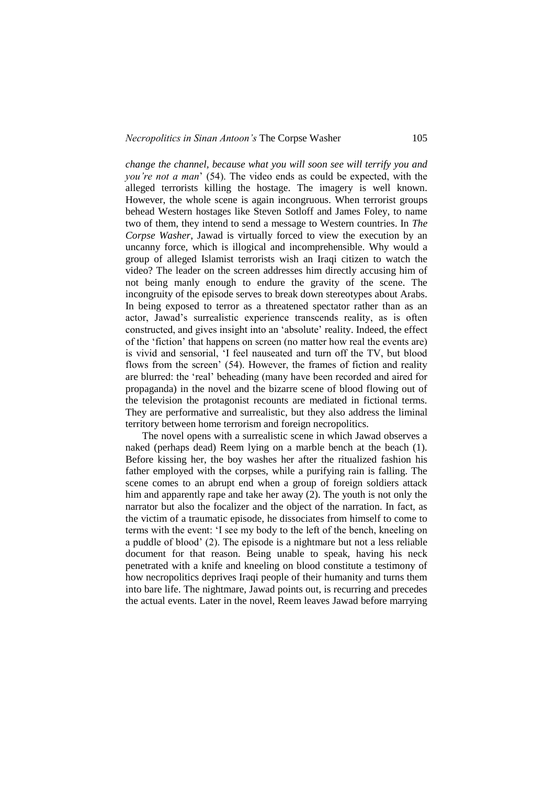*change the channel, because what you will soon see will terrify you and you're not a man*' (54). The video ends as could be expected, with the alleged terrorists killing the hostage. The imagery is well known. However, the whole scene is again incongruous. When terrorist groups behead Western hostages like Steven Sotloff and James Foley, to name two of them, they intend to send a message to Western countries. In *The Corpse Washer*, Jawad is virtually forced to view the execution by an uncanny force, which is illogical and incomprehensible. Why would a group of alleged Islamist terrorists wish an Iraqi citizen to watch the video? The leader on the screen addresses him directly accusing him of not being manly enough to endure the gravity of the scene. The incongruity of the episode serves to break down stereotypes about Arabs. In being exposed to terror as a threatened spectator rather than as an actor, Jawad's surrealistic experience transcends reality, as is often constructed, and gives insight into an 'absolute' reality. Indeed, the effect of the 'fiction' that happens on screen (no matter how real the events are) is vivid and sensorial, 'I feel nauseated and turn off the TV, but blood flows from the screen' (54). However, the frames of fiction and reality are blurred: the 'real' beheading (many have been recorded and aired for propaganda) in the novel and the bizarre scene of blood flowing out of the television the protagonist recounts are mediated in fictional terms. They are performative and surrealistic, but they also address the liminal territory between home terrorism and foreign necropolitics.

The novel opens with a surrealistic scene in which Jawad observes a naked (perhaps dead) Reem lying on a marble bench at the beach (1). Before kissing her, the boy washes her after the ritualized fashion his father employed with the corpses, while a purifying rain is falling. The scene comes to an abrupt end when a group of foreign soldiers attack him and apparently rape and take her away (2). The youth is not only the narrator but also the focalizer and the object of the narration. In fact, as the victim of a traumatic episode, he dissociates from himself to come to terms with the event: 'I see my body to the left of the bench, kneeling on a puddle of blood' (2). The episode is a nightmare but not a less reliable document for that reason. Being unable to speak, having his neck penetrated with a knife and kneeling on blood constitute a testimony of how necropolitics deprives Iraqi people of their humanity and turns them into bare life. The nightmare, Jawad points out, is recurring and precedes the actual events. Later in the novel, Reem leaves Jawad before marrying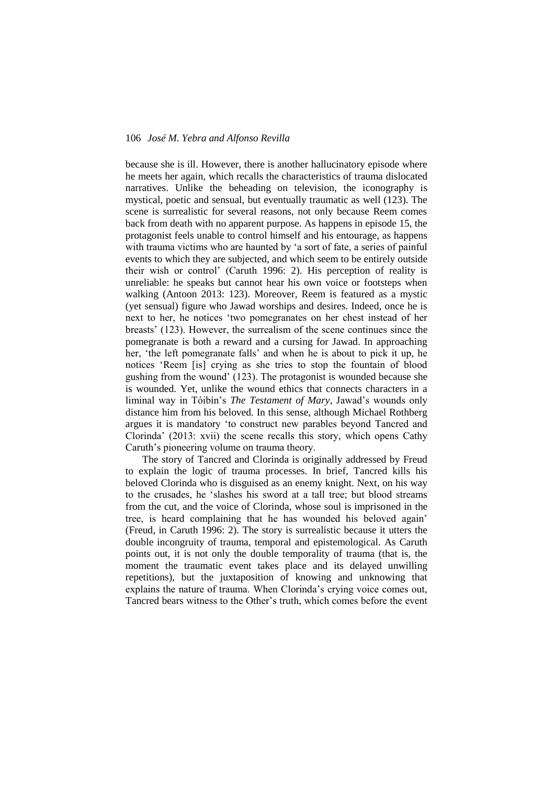because she is ill. However, there is another hallucinatory episode where he meets her again, which recalls the characteristics of trauma dislocated narratives. Unlike the beheading on television, the iconography is mystical, poetic and sensual, but eventually traumatic as well (123). The scene is surrealistic for several reasons, not only because Reem comes back from death with no apparent purpose. As happens in episode 15, the protagonist feels unable to control himself and his entourage, as happens with trauma victims who are haunted by 'a sort of fate, a series of painful events to which they are subjected, and which seem to be entirely outside their wish or control' (Caruth 1996: 2). His perception of reality is unreliable: he speaks but cannot hear his own voice or footsteps when walking (Antoon 2013: 123). Moreover, Reem is featured as a mystic (yet sensual) figure who Jawad worships and desires. Indeed, once he is next to her, he notices 'two pomegranates on her chest instead of her breasts' (123). However, the surrealism of the scene continues since the pomegranate is both a reward and a cursing for Jawad. In approaching her, 'the left pomegranate falls' and when he is about to pick it up, he notices 'Reem [is] crying as she tries to stop the fountain of blood gushing from the wound' (123). The protagonist is wounded because she is wounded. Yet, unlike the wound ethics that connects characters in a liminal way in Tóibín's *The Testament of Mary*, Jawad's wounds only distance him from his beloved. In this sense, although Michael Rothberg argues it is mandatory 'to construct new parables beyond Tancred and Clorinda' (2013: xvii) the scene recalls this story, which opens Cathy Caruth's pioneering volume on trauma theory.

The story of Tancred and Clorinda is originally addressed by Freud to explain the logic of trauma processes. In brief, Tancred kills his beloved Clorinda who is disguised as an enemy knight. Next, on his way to the crusades, he 'slashes his sword at a tall tree; but blood streams from the cut, and the voice of Clorinda, whose soul is imprisoned in the tree, is heard complaining that he has wounded his beloved again' (Freud, in Caruth 1996: 2). The story is surrealistic because it utters the double incongruity of trauma, temporal and epistemological. As Caruth points out, it is not only the double temporality of trauma (that is, the moment the traumatic event takes place and its delayed unwilling repetitions), but the juxtaposition of knowing and unknowing that explains the nature of trauma. When Clorinda's crying voice comes out, Tancred bears witness to the Other's truth, which comes before the event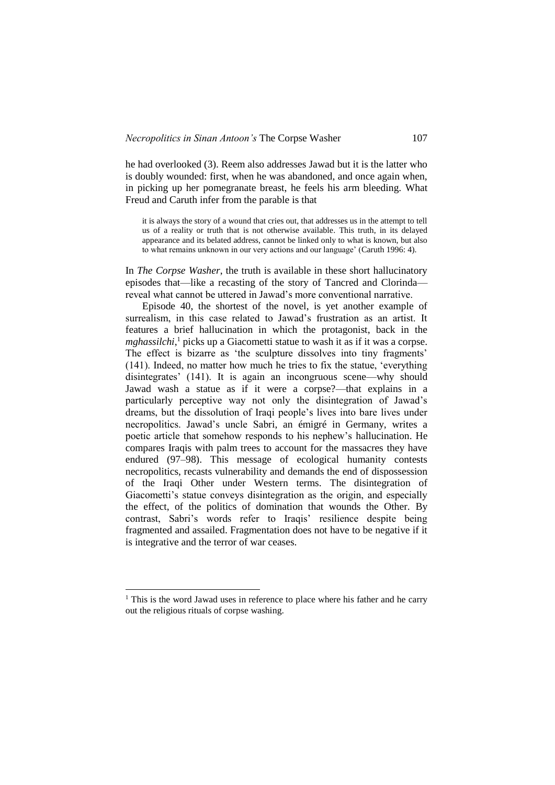he had overlooked (3). Reem also addresses Jawad but it is the latter who is doubly wounded: first, when he was abandoned, and once again when, in picking up her pomegranate breast, he feels his arm bleeding. What Freud and Caruth infer from the parable is that

it is always the story of a wound that cries out, that addresses us in the attempt to tell us of a reality or truth that is not otherwise available. This truth, in its delayed appearance and its belated address, cannot be linked only to what is known, but also to what remains unknown in our very actions and our language' (Caruth 1996: 4).

In *The Corpse Washer*, the truth is available in these short hallucinatory episodes that—like a recasting of the story of Tancred and Clorinda reveal what cannot be uttered in Jawad's more conventional narrative.

Episode 40, the shortest of the novel, is yet another example of surrealism, in this case related to Jawad's frustration as an artist. It features a brief hallucination in which the protagonist, back in the *mghassilchi*,<sup>1</sup> picks up a Giacometti statue to wash it as if it was a corpse. The effect is bizarre as 'the sculpture dissolves into tiny fragments' (141). Indeed, no matter how much he tries to fix the statue, 'everything disintegrates' (141). It is again an incongruous scene—why should Jawad wash a statue as if it were a corpse?—that explains in a particularly perceptive way not only the disintegration of Jawad's dreams, but the dissolution of Iraqi people's lives into bare lives under necropolitics. Jawad's uncle Sabri, an émigré in Germany, writes a poetic article that somehow responds to his nephew's hallucination. He compares Iraqis with palm trees to account for the massacres they have endured (97–98). This message of ecological humanity contests necropolitics, recasts vulnerability and demands the end of dispossession of the Iraqi Other under Western terms. The disintegration of Giacometti's statue conveys disintegration as the origin, and especially the effect, of the politics of domination that wounds the Other. By contrast, Sabri's words refer to Iraqis' resilience despite being fragmented and assailed. Fragmentation does not have to be negative if it is integrative and the terror of war ceases.

1

 $1$  This is the word Jawad uses in reference to place where his father and he carry out the religious rituals of corpse washing.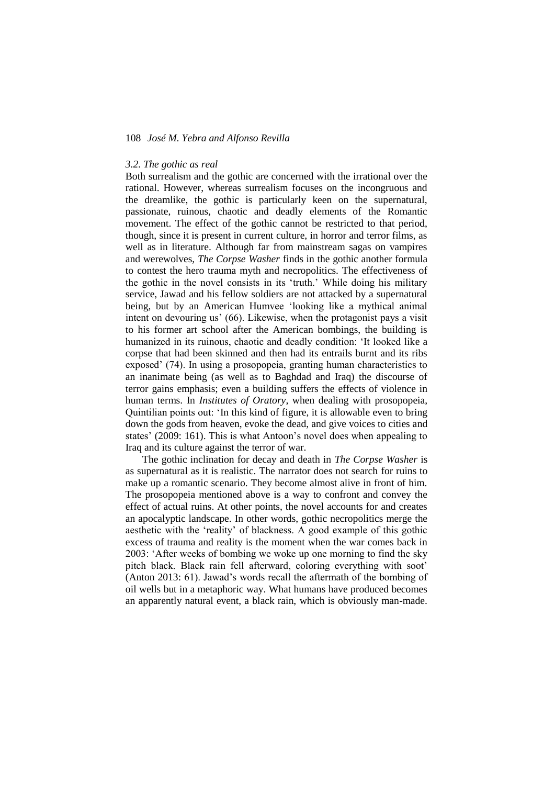#### *3.2. The gothic as real*

Both surrealism and the gothic are concerned with the irrational over the rational. However, whereas surrealism focuses on the incongruous and the dreamlike, the gothic is particularly keen on the supernatural, passionate, ruinous, chaotic and deadly elements of the Romantic movement. The effect of the gothic cannot be restricted to that period, though, since it is present in current culture, in horror and terror films, as well as in literature. Although far from mainstream sagas on vampires and werewolves, *The Corpse Washer* finds in the gothic another formula to contest the hero trauma myth and necropolitics. The effectiveness of the gothic in the novel consists in its 'truth.' While doing his military service, Jawad and his fellow soldiers are not attacked by a supernatural being, but by an American Humvee 'looking like a mythical animal intent on devouring us' (66). Likewise, when the protagonist pays a visit to his former art school after the American bombings, the building is humanized in its ruinous, chaotic and deadly condition: 'It looked like a corpse that had been skinned and then had its entrails burnt and its ribs exposed' (74). In using a prosopopeia, granting human characteristics to an inanimate being (as well as to Baghdad and Iraq) the discourse of terror gains emphasis; even a building suffers the effects of violence in human terms. In *Institutes of Oratory*, when dealing with prosopopeia, Quintilian points out: 'In this kind of figure, it is allowable even to bring down the gods from heaven, evoke the dead, and give voices to cities and states' (2009: 161). This is what Antoon's novel does when appealing to Iraq and its culture against the terror of war.

The gothic inclination for decay and death in *The Corpse Washer* is as supernatural as it is realistic. The narrator does not search for ruins to make up a romantic scenario. They become almost alive in front of him. The prosopopeia mentioned above is a way to confront and convey the effect of actual ruins. At other points, the novel accounts for and creates an apocalyptic landscape. In other words, gothic necropolitics merge the aesthetic with the 'reality' of blackness. A good example of this gothic excess of trauma and reality is the moment when the war comes back in 2003: 'After weeks of bombing we woke up one morning to find the sky pitch black. Black rain fell afterward, coloring everything with soot' (Anton 2013: 61). Jawad's words recall the aftermath of the bombing of oil wells but in a metaphoric way. What humans have produced becomes an apparently natural event, a black rain, which is obviously man-made.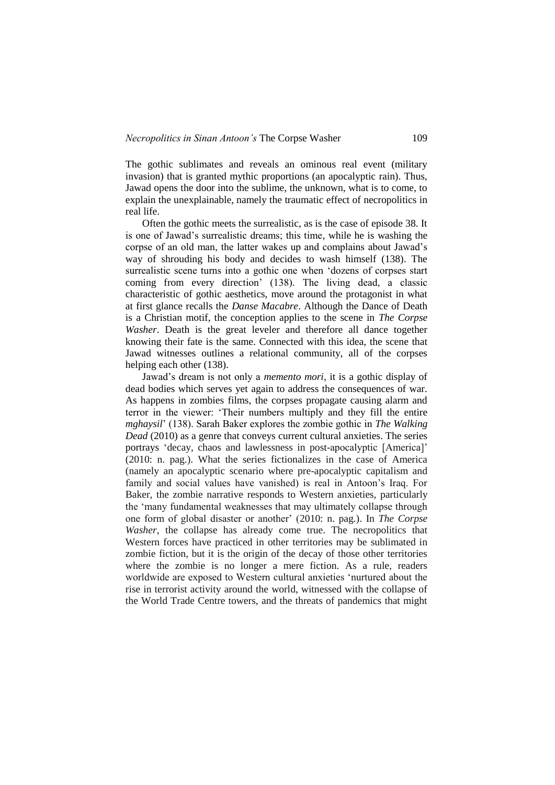The gothic sublimates and reveals an ominous real event (military invasion) that is granted mythic proportions (an apocalyptic rain). Thus, Jawad opens the door into the sublime, the unknown, what is to come, to explain the unexplainable, namely the traumatic effect of necropolitics in real life.

Often the gothic meets the surrealistic, as is the case of episode 38. It is one of Jawad's surrealistic dreams; this time, while he is washing the corpse of an old man, the latter wakes up and complains about Jawad's way of shrouding his body and decides to wash himself (138). The surrealistic scene turns into a gothic one when 'dozens of corpses start coming from every direction' (138). The living dead, a classic characteristic of gothic aesthetics, move around the protagonist in what at first glance recalls the *Danse Macabre*. Although the Dance of Death is a Christian motif, the conception applies to the scene in *The Corpse Washer*. Death is the great leveler and therefore all dance together knowing their fate is the same. Connected with this idea, the scene that Jawad witnesses outlines a relational community, all of the corpses helping each other (138).

Jawad's dream is not only a *memento mori*, it is a gothic display of dead bodies which serves yet again to address the consequences of war. As happens in zombies films, the corpses propagate causing alarm and terror in the viewer: 'Their numbers multiply and they fill the entire *mghaysil*' (138). Sarah Baker explores the zombie gothic in *The Walking Dead* (2010) as a genre that conveys current cultural anxieties. The series portrays 'decay, chaos and lawlessness in post-apocalyptic [America]' (2010: n. pag.). What the series fictionalizes in the case of America (namely an apocalyptic scenario where pre-apocalyptic capitalism and family and social values have vanished) is real in Antoon's Iraq. For Baker, the zombie narrative responds to Western anxieties, particularly the 'many fundamental weaknesses that may ultimately collapse through one form of global disaster or another' (2010: n. pag.). In *The Corpse Washer*, the collapse has already come true. The necropolitics that Western forces have practiced in other territories may be sublimated in zombie fiction, but it is the origin of the decay of those other territories where the zombie is no longer a mere fiction. As a rule, readers worldwide are exposed to Western cultural anxieties 'nurtured about the rise in terrorist activity around the world, witnessed with the collapse of the World Trade Centre towers, and the threats of pandemics that might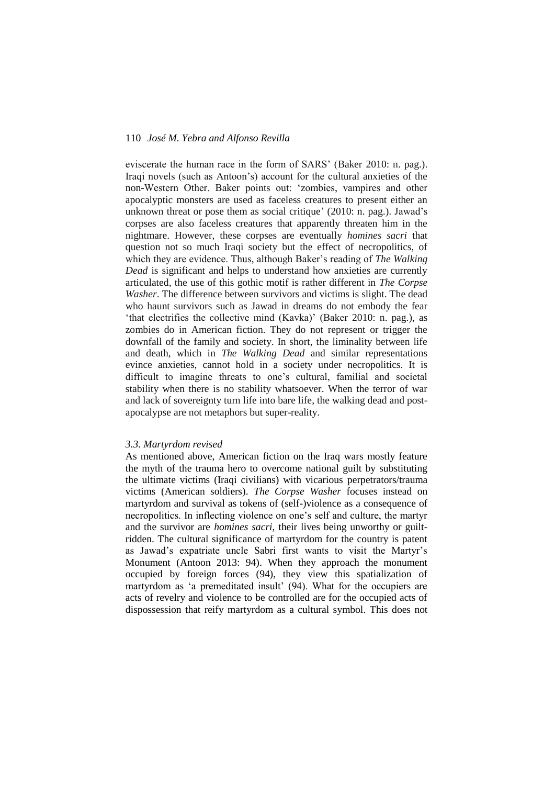eviscerate the human race in the form of SARS' (Baker 2010: n. pag.). Iraqi novels (such as Antoon's) account for the cultural anxieties of the non-Western Other. Baker points out: 'zombies, vampires and other apocalyptic monsters are used as faceless creatures to present either an unknown threat or pose them as social critique' (2010: n. pag.). Jawad's corpses are also faceless creatures that apparently threaten him in the nightmare. However, these corpses are eventually *homines sacri* that question not so much Iraqi society but the effect of necropolitics, of which they are evidence. Thus, although Baker's reading of *The Walking Dead* is significant and helps to understand how anxieties are currently articulated, the use of this gothic motif is rather different in *The Corpse Washer*. The difference between survivors and victims is slight. The dead who haunt survivors such as Jawad in dreams do not embody the fear 'that electrifies the collective mind (Kavka)' (Baker 2010: n. pag.), as zombies do in American fiction. They do not represent or trigger the downfall of the family and society. In short, the liminality between life and death, which in *The Walking Dead* and similar representations evince anxieties, cannot hold in a society under necropolitics. It is difficult to imagine threats to one's cultural, familial and societal stability when there is no stability whatsoever. When the terror of war and lack of sovereignty turn life into bare life, the walking dead and postapocalypse are not metaphors but super-reality.

## *3.3. Martyrdom revised*

As mentioned above, American fiction on the Iraq wars mostly feature the myth of the trauma hero to overcome national guilt by substituting the ultimate victims (Iraqi civilians) with vicarious perpetrators/trauma victims (American soldiers). *The Corpse Washer* focuses instead on martyrdom and survival as tokens of (self-)violence as a consequence of necropolitics. In inflecting violence on one's self and culture, the martyr and the survivor are *homines sacri*, their lives being unworthy or guiltridden. The cultural significance of martyrdom for the country is patent as Jawad's expatriate uncle Sabri first wants to visit the Martyr's Monument (Antoon 2013: 94). When they approach the monument occupied by foreign forces (94), they view this spatialization of martyrdom as 'a premeditated insult' (94). What for the occupiers are acts of revelry and violence to be controlled are for the occupied acts of dispossession that reify martyrdom as a cultural symbol. This does not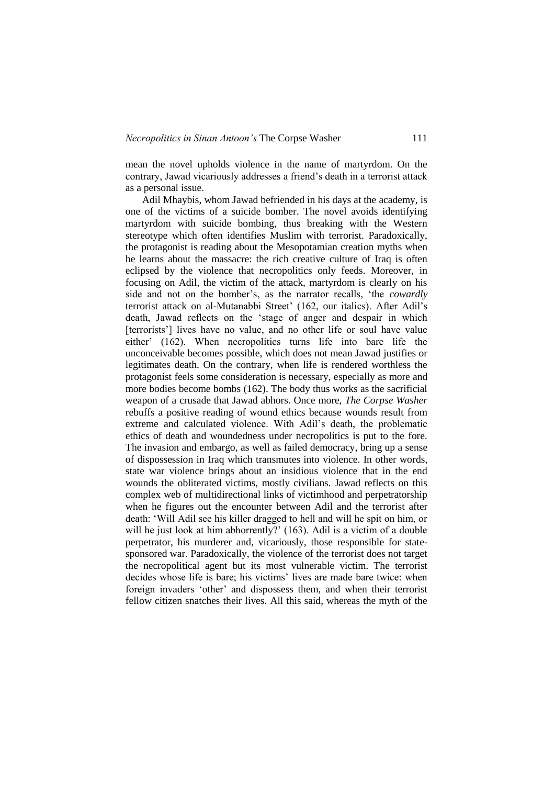mean the novel upholds violence in the name of martyrdom. On the contrary, Jawad vicariously addresses a friend's death in a terrorist attack as a personal issue.

Adil Mhaybis, whom Jawad befriended in his days at the academy, is one of the victims of a suicide bomber. The novel avoids identifying martyrdom with suicide bombing, thus breaking with the Western stereotype which often identifies Muslim with terrorist. Paradoxically, the protagonist is reading about the Mesopotamian creation myths when he learns about the massacre: the rich creative culture of Iraq is often eclipsed by the violence that necropolitics only feeds. Moreover, in focusing on Adil, the victim of the attack, martyrdom is clearly on his side and not on the bomber's, as the narrator recalls, 'the *cowardly* terrorist attack on al-Mutanabbi Street' (162, our italics). After Adil's death, Jawad reflects on the 'stage of anger and despair in which [terrorists'] lives have no value, and no other life or soul have value either' (162). When necropolitics turns life into bare life the unconceivable becomes possible, which does not mean Jawad justifies or legitimates death. On the contrary, when life is rendered worthless the protagonist feels some consideration is necessary, especially as more and more bodies become bombs (162). The body thus works as the sacrificial weapon of a crusade that Jawad abhors. Once more, *The Corpse Washer* rebuffs a positive reading of wound ethics because wounds result from extreme and calculated violence. With Adil's death, the problematic ethics of death and woundedness under necropolitics is put to the fore. The invasion and embargo, as well as failed democracy, bring up a sense of dispossession in Iraq which transmutes into violence. In other words, state war violence brings about an insidious violence that in the end wounds the obliterated victims, mostly civilians. Jawad reflects on this complex web of multidirectional links of victimhood and perpetratorship when he figures out the encounter between Adil and the terrorist after death: 'Will Adil see his killer dragged to hell and will he spit on him, or will he just look at him abhorrently?' (163). Adil is a victim of a double perpetrator, his murderer and, vicariously, those responsible for statesponsored war. Paradoxically, the violence of the terrorist does not target the necropolitical agent but its most vulnerable victim. The terrorist decides whose life is bare; his victims' lives are made bare twice: when foreign invaders 'other' and dispossess them, and when their terrorist fellow citizen snatches their lives. All this said, whereas the myth of the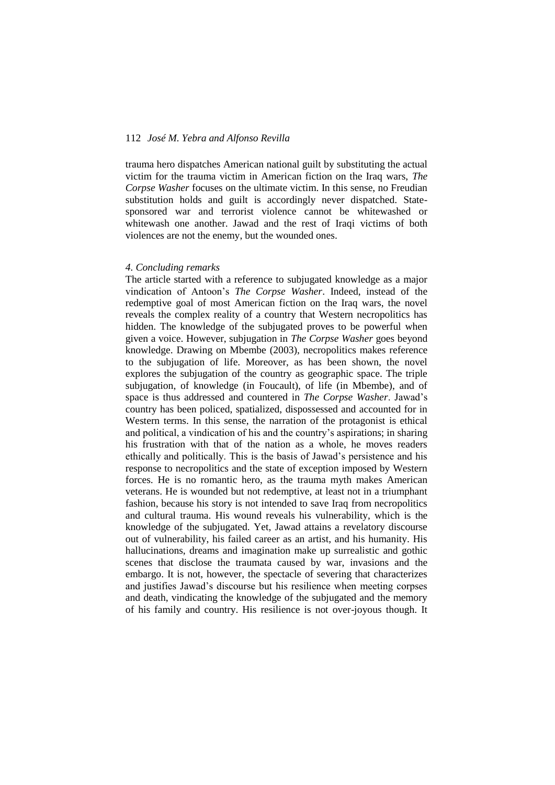trauma hero dispatches American national guilt by substituting the actual victim for the trauma victim in American fiction on the Iraq wars, *The Corpse Washer* focuses on the ultimate victim. In this sense, no Freudian substitution holds and guilt is accordingly never dispatched. Statesponsored war and terrorist violence cannot be whitewashed or whitewash one another. Jawad and the rest of Iraqi victims of both violences are not the enemy, but the wounded ones.

#### *4. Concluding remarks*

The article started with a reference to subjugated knowledge as a major vindication of Antoon's *The Corpse Washer*. Indeed, instead of the redemptive goal of most American fiction on the Iraq wars, the novel reveals the complex reality of a country that Western necropolitics has hidden. The knowledge of the subjugated proves to be powerful when given a voice. However, subjugation in *The Corpse Washer* goes beyond knowledge. Drawing on Mbembe (2003), necropolitics makes reference to the subjugation of life. Moreover, as has been shown, the novel explores the subjugation of the country as geographic space. The triple subjugation, of knowledge (in Foucault), of life (in Mbembe), and of space is thus addressed and countered in *The Corpse Washer*. Jawad's country has been policed, spatialized, dispossessed and accounted for in Western terms. In this sense, the narration of the protagonist is ethical and political, a vindication of his and the country's aspirations; in sharing his frustration with that of the nation as a whole, he moves readers ethically and politically. This is the basis of Jawad's persistence and his response to necropolitics and the state of exception imposed by Western forces. He is no romantic hero, as the trauma myth makes American veterans. He is wounded but not redemptive, at least not in a triumphant fashion, because his story is not intended to save Iraq from necropolitics and cultural trauma. His wound reveals his vulnerability, which is the knowledge of the subjugated. Yet, Jawad attains a revelatory discourse out of vulnerability, his failed career as an artist, and his humanity. His hallucinations, dreams and imagination make up surrealistic and gothic scenes that disclose the traumata caused by war, invasions and the embargo. It is not, however, the spectacle of severing that characterizes and justifies Jawad's discourse but his resilience when meeting corpses and death, vindicating the knowledge of the subjugated and the memory of his family and country. His resilience is not over-joyous though. It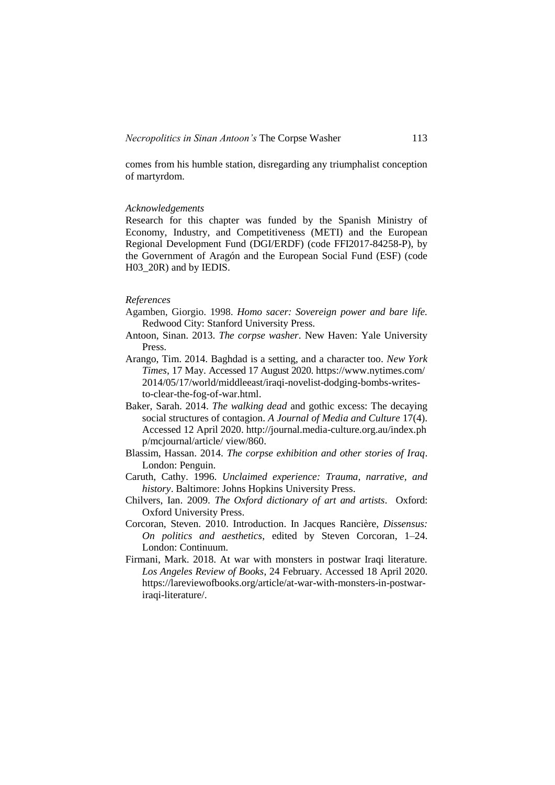comes from his humble station, disregarding any triumphalist conception of martyrdom.

# *Acknowledgements*

Research for this chapter was funded by the Spanish Ministry of Economy, Industry, and Competitiveness (METI) and the European Regional Development Fund (DGI/ERDF) (code FFI2017-84258-P), by the Government of Aragón and the European Social Fund (ESF) (code H03\_20R) and by IEDIS.

# *References*

- Agamben, Giorgio. 1998. *Homo sacer: Sovereign power and bare life.* Redwood City: Stanford University Press.
- Antoon, Sinan. 2013. *The corpse washer*. New Haven: Yale University Press.
- Arango, Tim. 2014. Baghdad is a setting, and a character too. *New York Times*, 17 May. Accessed 17 August 2020. https://www.nytimes.com/ 2014/05/17/world/middleeast/iraqi-novelist-dodging-bombs-writesto-clear-the-fog-of-war.html.
- Baker, Sarah. 2014. *The walking dead* and gothic excess: The decaying social structures of contagion. *A Journal of Media and Culture* 17(4). Accessed 12 April 2020. http://journal.media-culture.org.au/index.ph p/mcjournal/article/ view/860.
- Blassim, Hassan. 2014. *The corpse exhibition and other stories of Iraq*. London: Penguin.
- Caruth, Cathy. 1996. *Unclaimed experience: Trauma, narrative, and history*. Baltimore: Johns Hopkins University Press.
- Chilvers, Ian. 2009. *The Oxford dictionary of art and artists*. Oxford: Oxford University Press.
- Corcoran, Steven. 2010. Introduction. In Jacques Rancière, *Dissensus: On politics and aesthetics*, edited by Steven Corcoran, 1–24. London: Continuum.
- Firmani, Mark. 2018. At war with monsters in postwar Iraqi literature. *Los Angeles Review of Books*, 24 February. Accessed 18 April 2020. https://lareviewofbooks.org/article/at-war-with-monsters-in-postwariraqi-literature/.